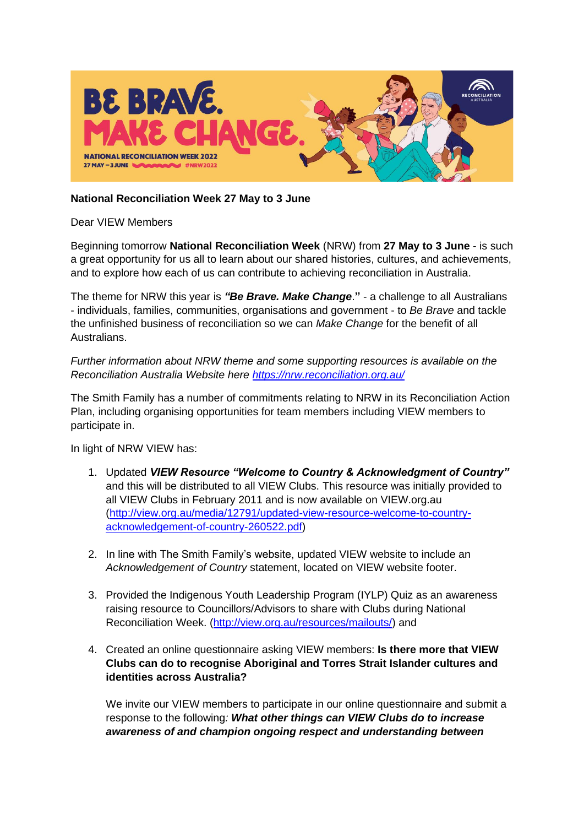

## **National Reconciliation Week 27 May to 3 June**

Dear VIEW Members

Beginning tomorrow **National Reconciliation Week** (NRW) from **27 May to 3 June** - is such a great opportunity for us all to learn about our shared histories, cultures, and achievements, and to explore how each of us can contribute to achieving reconciliation in Australia.

The theme for NRW this year is *"Be Brave. Make Change*.**"** - a challenge to all Australians - individuals, families, communities, organisations and government - to *Be Brave* and tackle the unfinished business of reconciliation so we can *Make Change* for the benefit of all Australians.

*Further information about NRW theme and some supporting resources is available on the Reconciliation Australia Website here<https://nrw.reconciliation.org.au/>*

The Smith Family has a number of commitments relating to NRW in its Reconciliation Action Plan, including organising opportunities for team members including VIEW members to participate in.

In light of NRW VIEW has:

- 1. Updated *VIEW Resource "Welcome to Country & Acknowledgment of Country"* and this will be distributed to all VIEW Clubs. This resource was initially provided to all VIEW Clubs in February 2011 and is now available on VIEW.org.au [\(http://view.org.au/media/12791/updated-view-resource-welcome-to-country](http://view.org.au/media/12791/updated-view-resource-welcome-to-country-acknowledgement-of-country-260522.pdf)[acknowledgement-of-country-260522.pdf\)](http://view.org.au/media/12791/updated-view-resource-welcome-to-country-acknowledgement-of-country-260522.pdf)
- 2. In line with The Smith Family's website, updated VIEW website to include an *Acknowledgement of Country* statement, located on VIEW website footer.
- 3. Provided the Indigenous Youth Leadership Program (IYLP) Quiz as an awareness raising resource to Councillors/Advisors to share with Clubs during National Reconciliation Week. [\(http://view.org.au/resources/mailouts/\)](http://view.org.au/resources/mailouts/) and
- 4. Created an online questionnaire asking VIEW members: **Is there more that VIEW Clubs can do to recognise Aboriginal and Torres Strait Islander cultures and identities across Australia?**

We invite our VIEW members to participate in our online questionnaire and submit a response to the following*: What other things can VIEW Clubs do to increase awareness of and champion ongoing respect and understanding between*